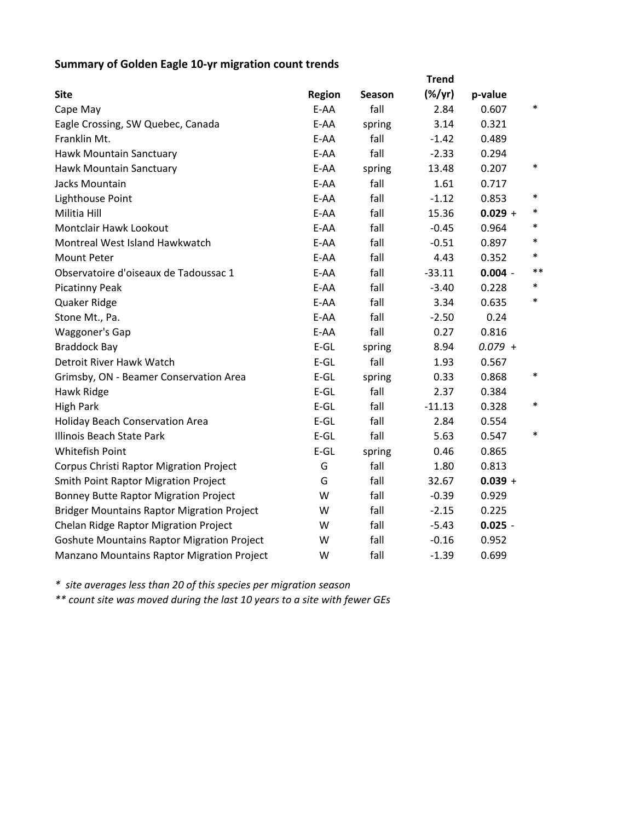## **Summary of Golden Eagle 10‐yr migration count trends**

|                                                   | <b>Trend</b>  |        |           |           |        |  |  |  |
|---------------------------------------------------|---------------|--------|-----------|-----------|--------|--|--|--|
| <b>Site</b>                                       | <b>Region</b> | Season | $(\%/yr)$ | p-value   |        |  |  |  |
| Cape May                                          | E-AA          | fall   | 2.84      | 0.607     | $\ast$ |  |  |  |
| Eagle Crossing, SW Quebec, Canada                 | E-AA          | spring | 3.14      | 0.321     |        |  |  |  |
| Franklin Mt.                                      | E-AA          | fall   | $-1.42$   | 0.489     |        |  |  |  |
| Hawk Mountain Sanctuary                           | E-AA          | fall   | $-2.33$   | 0.294     |        |  |  |  |
| Hawk Mountain Sanctuary                           | E-AA          | spring | 13.48     | 0.207     | $\ast$ |  |  |  |
| Jacks Mountain                                    | E-AA          | fall   | 1.61      | 0.717     |        |  |  |  |
| Lighthouse Point                                  | E-AA          | fall   | $-1.12$   | 0.853     | $\ast$ |  |  |  |
| Militia Hill                                      | E-AA          | fall   | 15.36     | $0.029 +$ | $\ast$ |  |  |  |
| Montclair Hawk Lookout                            | E-AA          | fall   | $-0.45$   | 0.964     | $\ast$ |  |  |  |
| Montreal West Island Hawkwatch                    | E-AA          | fall   | $-0.51$   | 0.897     | $\ast$ |  |  |  |
| <b>Mount Peter</b>                                | E-AA          | fall   | 4.43      | 0.352     | $\ast$ |  |  |  |
| Observatoire d'oiseaux de Tadoussac 1             | E-AA          | fall   | $-33.11$  | $0.004 -$ | $***$  |  |  |  |
| <b>Picatinny Peak</b>                             | E-AA          | fall   | $-3.40$   | 0.228     | $\ast$ |  |  |  |
| Quaker Ridge                                      | E-AA          | fall   | 3.34      | 0.635     | $\ast$ |  |  |  |
| Stone Mt., Pa.                                    | E-AA          | fall   | $-2.50$   | 0.24      |        |  |  |  |
| Waggoner's Gap                                    | E-AA          | fall   | 0.27      | 0.816     |        |  |  |  |
| <b>Braddock Bay</b>                               | $E-GL$        | spring | 8.94      | $0.079 +$ |        |  |  |  |
| Detroit River Hawk Watch                          | $E$ -GL       | fall   | 1.93      | 0.567     |        |  |  |  |
| Grimsby, ON - Beamer Conservation Area            | $E$ -GL       | spring | 0.33      | 0.868     | $\ast$ |  |  |  |
| Hawk Ridge                                        | $E-GL$        | fall   | 2.37      | 0.384     |        |  |  |  |
| <b>High Park</b>                                  | $E$ -GL       | fall   | $-11.13$  | 0.328     | $\ast$ |  |  |  |
| <b>Holiday Beach Conservation Area</b>            | $E$ -GL       | fall   | 2.84      | 0.554     |        |  |  |  |
| Illinois Beach State Park                         | $E-GL$        | fall   | 5.63      | 0.547     | $\ast$ |  |  |  |
| Whitefish Point                                   | $E$ -GL       | spring | 0.46      | 0.865     |        |  |  |  |
| Corpus Christi Raptor Migration Project           | G             | fall   | 1.80      | 0.813     |        |  |  |  |
| <b>Smith Point Raptor Migration Project</b>       | G             | fall   | 32.67     | $0.039 +$ |        |  |  |  |
| <b>Bonney Butte Raptor Migration Project</b>      | W             | fall   | $-0.39$   | 0.929     |        |  |  |  |
| <b>Bridger Mountains Raptor Migration Project</b> | W             | fall   | $-2.15$   | 0.225     |        |  |  |  |
| Chelan Ridge Raptor Migration Project             | W             | fall   | $-5.43$   | $0.025 -$ |        |  |  |  |
| <b>Goshute Mountains Raptor Migration Project</b> | W             | fall   | $-0.16$   | 0.952     |        |  |  |  |
| Manzano Mountains Raptor Migration Project        | W             | fall   | $-1.39$   | 0.699     |        |  |  |  |

*\* site averages less than 20 of this species per migration season*

*\*\* count site was moved during the last 10 years to a site with fewer GEs*